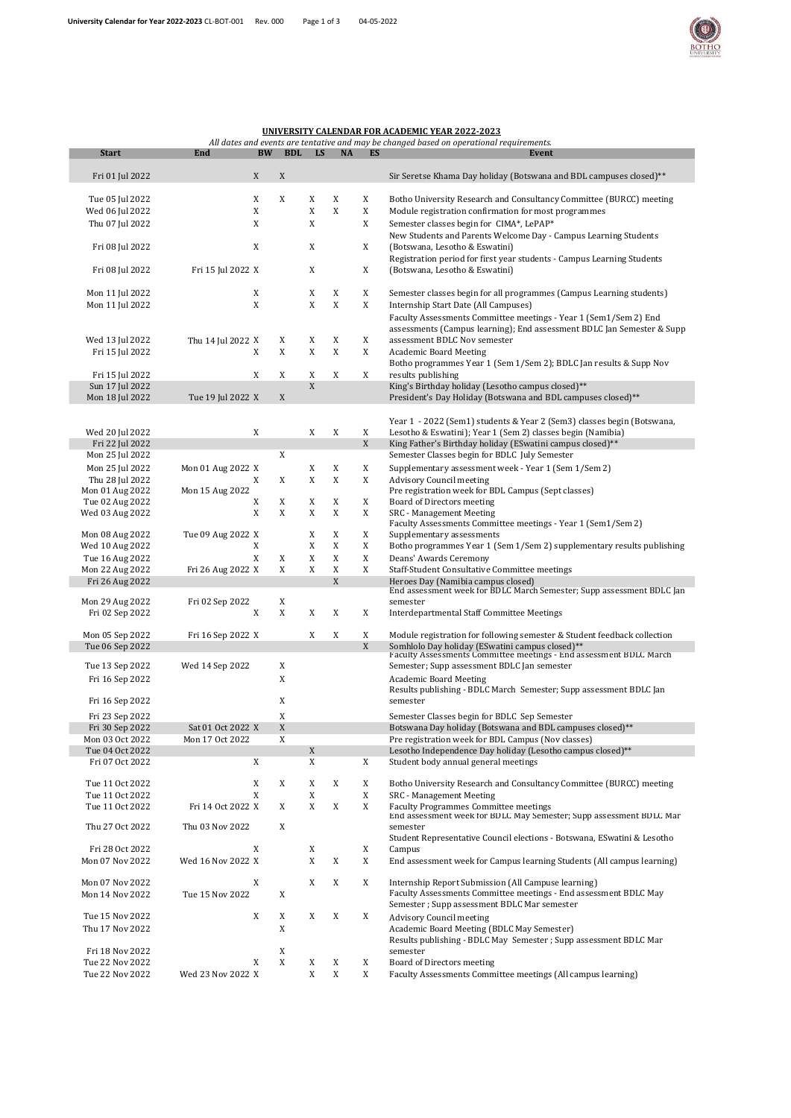

## **UNIVERSITY CALENDAR FOR ACADEMIC YEAR 2022-2023**

| All dates and events are tentative and may be changed based on operational requirements.<br><b>BDL</b><br>LS <sub></sub><br><b>NA</b><br><b>Event</b><br><b>BW</b> |                      |  |        |        |        |             |                                                                                                                                                                                    |
|--------------------------------------------------------------------------------------------------------------------------------------------------------------------|----------------------|--|--------|--------|--------|-------------|------------------------------------------------------------------------------------------------------------------------------------------------------------------------------------|
| <b>Start</b>                                                                                                                                                       | End                  |  |        |        |        | <b>ES</b>   |                                                                                                                                                                                    |
| Fri 01 Jul 2022                                                                                                                                                    | X                    |  | X      |        |        |             | Sir Seretse Khama Day holiday (Botswana and BDL campuses closed)**                                                                                                                 |
| Tue 05 Jul 2022<br>Wed 06 Jul 2022                                                                                                                                 | X<br>X               |  | X      | X<br>X | X<br>X | X<br>X      | Botho University Research and Consultancy Committee (BURCC) meeting<br>Module registration confirmation for most programmes                                                        |
| Thu 07 Jul 2022                                                                                                                                                    | X                    |  |        | X      |        | X           | Semester classes begin for CIMA*, LePAP*                                                                                                                                           |
| Fri 08 Jul 2022                                                                                                                                                    | X                    |  |        | X      |        | X           | New Students and Parents Welcome Day - Campus Learning Students<br>(Botswana, Lesotho & Eswatini)                                                                                  |
| Fri 08 Jul 2022                                                                                                                                                    | Fri 15 Jul 2022 X    |  |        | X      |        | X           | Registration period for first year students - Campus Learning Students<br>(Botswana, Lesotho & Eswatini)                                                                           |
| Mon 11 Jul 2022                                                                                                                                                    | X                    |  |        | X      | X      | X           | Semester classes begin for all programmes (Campus Learning students)                                                                                                               |
| Mon 11 Jul 2022                                                                                                                                                    | X                    |  |        | X      | X      | X           | Internship Start Date (All Campuses)<br>Faculty Assessments Committee meetings - Year 1 (Sem1/Sem 2) End<br>assessments (Campus learning); End assessment BDLC Jan Semester & Supp |
| Wed 13 Jul 2022                                                                                                                                                    | Thu 14 Jul 2022 X    |  | X      | X      | X      | X           | assessment BDLC Nov semester                                                                                                                                                       |
| Fri 15 Jul 2022                                                                                                                                                    | X                    |  | X      | X      | X      | X           | <b>Academic Board Meeting</b><br>Botho programmes Year 1 (Sem 1/Sem 2); BDLC Jan results & Supp Nov                                                                                |
| Fri 15 Jul 2022                                                                                                                                                    | X                    |  | X      | X      | X      | X           | results publishing                                                                                                                                                                 |
| Sun 17 Jul 2022                                                                                                                                                    |                      |  |        | X      |        |             | King's Birthday holiday (Lesotho campus closed)**                                                                                                                                  |
| Mon 18 Jul 2022                                                                                                                                                    | Tue 19 Jul 2022 X    |  | X      |        |        |             | President's Day Holiday (Botswana and BDL campuses closed)**                                                                                                                       |
|                                                                                                                                                                    |                      |  |        |        |        |             | Year 1 - 2022 (Sem1) students & Year 2 (Sem3) classes begin (Botswana,                                                                                                             |
| Wed 20 Jul 2022                                                                                                                                                    | X                    |  |        | X      | X      | X           | Lesotho & Eswatini); Year 1 (Sem 2) classes begin (Namibia)                                                                                                                        |
| Fri 22 Jul 2022<br>Mon 25 Jul 2022                                                                                                                                 |                      |  | X      |        |        | $\mathbf X$ | King Father's Birthday holiday (ESwatini campus closed)**<br>Semester Classes begin for BDLC July Semester                                                                         |
| Mon 25 Jul 2022                                                                                                                                                    | Mon 01 Aug 2022 X    |  |        | X      | X      | X           | Supplementary assessment week - Year 1 (Sem 1/Sem 2)                                                                                                                               |
| Thu 28 Jul 2022                                                                                                                                                    | X                    |  | X      | X      | X      | X           | <b>Advisory Council meeting</b>                                                                                                                                                    |
| Mon 01 Aug 2022                                                                                                                                                    | Mon 15 Aug 2022      |  |        |        |        |             | Pre registration week for BDL Campus (Sept classes)                                                                                                                                |
| Tue 02 Aug 2022                                                                                                                                                    | X                    |  | X      | X      | X      | X           | Board of Directors meeting                                                                                                                                                         |
| Wed 03 Aug 2022                                                                                                                                                    | X                    |  | X      | X      | X      | X           | SRC - Management Meeting<br>Faculty Assessments Committee meetings - Year 1 (Sem1/Sem 2)                                                                                           |
| Mon 08 Aug 2022                                                                                                                                                    | Tue 09 Aug 2022 X    |  |        | X      | X      | X           | Supplementary assessments                                                                                                                                                          |
| Wed 10 Aug 2022                                                                                                                                                    | X                    |  |        | X      | X      | X           | Botho programmes Year 1 (Sem 1/Sem 2) supplementary results publishing                                                                                                             |
| Tue 16 Aug 2022                                                                                                                                                    | X                    |  | X      | X      | X      | X           | Deans' Awards Ceremony                                                                                                                                                             |
| Mon 22 Aug 2022                                                                                                                                                    | Fri 26 Aug 2022 X    |  | X      | X      | X      | X           | Staff-Student Consultative Committee meetings                                                                                                                                      |
| Fri 26 Aug 2022                                                                                                                                                    |                      |  |        |        | X      |             | Heroes Day (Namibia campus closed)<br>End assessment week for BDLC March Semester; Supp assessment BDLC Jan                                                                        |
| Mon 29 Aug 2022<br>Fri 02 Sep 2022                                                                                                                                 | Fri 02 Sep 2022<br>X |  | X<br>X | X      | X      | X           | semester<br>Interdepartmental Staff Committee Meetings                                                                                                                             |
| Mon 05 Sep 2022                                                                                                                                                    | Fri 16 Sep 2022 X    |  |        | X      | X      | X           | Module registration for following semester & Student feedback collection                                                                                                           |
| Tue 06 Sep 2022                                                                                                                                                    |                      |  |        |        |        | X           | Somhlolo Day holiday (ESwatini campus closed)**<br>Faculty Assessments Committee meetings - End assessment BDLC March                                                              |
| Tue 13 Sep 2022                                                                                                                                                    | Wed 14 Sep 2022      |  | X      |        |        |             | Semester; Supp assessment BDLC Jan semester                                                                                                                                        |
| Fri 16 Sep 2022                                                                                                                                                    |                      |  | X      |        |        |             | <b>Academic Board Meeting</b><br>Results publishing - BDLC March Semester; Supp assessment BDLC Jan                                                                                |
| Fri 16 Sep 2022                                                                                                                                                    |                      |  | X      |        |        |             | semester                                                                                                                                                                           |
| Fri 23 Sep 2022                                                                                                                                                    |                      |  | X      |        |        |             | Semester Classes begin for BDLC Sep Semester                                                                                                                                       |
| Fri 30 Sep 2022<br>Mon 03 Oct 2022                                                                                                                                 | Sat 01 Oct 2022 X    |  | X      |        |        |             | Botswana Day holiday (Botswana and BDL campuses closed)**                                                                                                                          |
| Tue 04 Oct 2022                                                                                                                                                    | Mon 17 Oct 2022      |  | X      | X      |        |             | Pre registration week for BDL Campus (Nov classes)<br>Lesotho Independence Day holiday (Lesotho campus closed)**                                                                   |
| Fri 07 Oct 2022                                                                                                                                                    | X                    |  |        | X      |        | X           | Student body annual general meetings                                                                                                                                               |
| Tue 11 Oct 2022                                                                                                                                                    | X                    |  | X      | X      | X      | X           | Botho University Research and Consultancy Committee (BURCC) meeting                                                                                                                |
| Tue 11 Oct 2022                                                                                                                                                    | X                    |  |        | X      |        | X           | <b>SRC</b> - Management Meeting                                                                                                                                                    |
| Tue 11 Oct 2022                                                                                                                                                    | Fri 14 Oct 2022 X    |  | X      | X      | X      | X           | <b>Faculty Programmes Committee meetings</b><br>End assessment week for BDLC May Semester; Supp assessment BDLC Mar                                                                |
| Thu 27 Oct 2022                                                                                                                                                    | Thu 03 Nov 2022      |  | X      |        |        |             | semester<br>Student Representative Council elections - Botswana, ESwatini & Lesotho                                                                                                |
| Fri 28 Oct 2022                                                                                                                                                    | X                    |  |        | X      |        | X           | Campus                                                                                                                                                                             |
| Mon 07 Nov 2022                                                                                                                                                    | Wed 16 Nov 2022 X    |  |        | X      | X      | X           | End assessment week for Campus learning Students (All campus learning)                                                                                                             |
| Mon 07 Nov 2022                                                                                                                                                    | X                    |  |        | X      | X      | X           | Internship Report Submission (All Campuse learning)                                                                                                                                |
| Mon 14 Nov 2022                                                                                                                                                    | Tue 15 Nov 2022      |  | X      |        |        |             | Faculty Assessments Committee meetings - End assessment BDLC May<br>Semester; Supp assessment BDLC Mar semester                                                                    |
| Tue 15 Nov 2022                                                                                                                                                    | X                    |  | X      | X      | X      | X           | <b>Advisory Council meeting</b>                                                                                                                                                    |
| Thu 17 Nov 2022                                                                                                                                                    |                      |  | X      |        |        |             | Academic Board Meeting (BDLC May Semester)<br>Results publishing - BDLC May Semester; Supp assessment BDLC Mar                                                                     |
| Fri 18 Nov 2022                                                                                                                                                    |                      |  | X      |        |        |             | semester                                                                                                                                                                           |
| Tue 22 Nov 2022                                                                                                                                                    | X                    |  | X      | X      | X      | X           | Board of Directors meeting                                                                                                                                                         |
| Tue 22 Nov 2022                                                                                                                                                    | Wed 23 Nov 2022 X    |  |        | X      | X      | X           | Faculty Assessments Committee meetings (All campus learning)                                                                                                                       |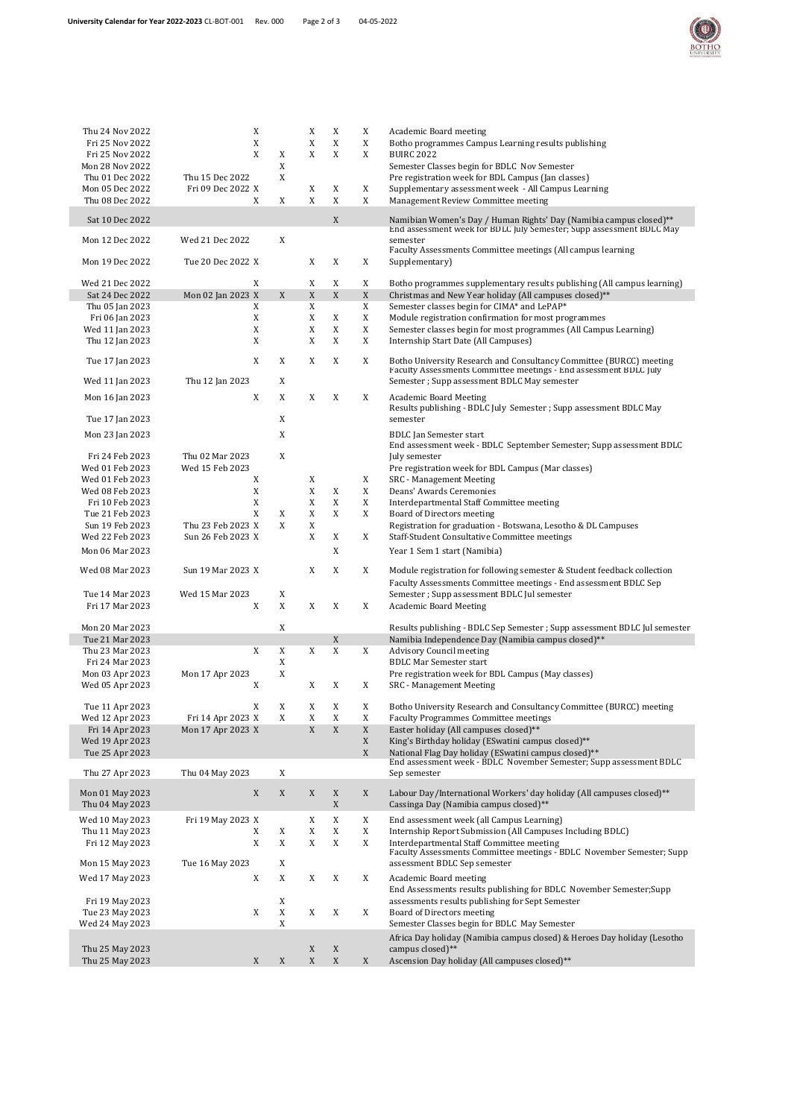

| Thu 24 Nov 2022                    |                      |        |        |                  |             |                                                                                                                                            |
|------------------------------------|----------------------|--------|--------|------------------|-------------|--------------------------------------------------------------------------------------------------------------------------------------------|
|                                    | X                    |        | X      | X                | X           | Academic Board meeting                                                                                                                     |
| Fri 25 Nov 2022                    | X                    |        | X      | X                | X           | Botho programmes Campus Learning results publishing                                                                                        |
| Fri 25 Nov 2022                    | X                    | X      | X      | X                | X           | <b>BUIRC 2022</b>                                                                                                                          |
| Mon 28 Nov 2022                    |                      | X      |        |                  |             | Semester Classes begin for BDLC Nov Semester                                                                                               |
| Thu 01 Dec 2022                    | Thu 15 Dec 2022      | X      |        |                  |             | Pre registration week for BDL Campus (Jan classes)                                                                                         |
| Mon 05 Dec 2022                    | Fri 09 Dec 2022 X    |        | X      | X                | X           | Supplementary assessment week - All Campus Learning                                                                                        |
| Thu 08 Dec 2022                    | X                    | X      | X      | X                | X           | Management Review Committee meeting                                                                                                        |
| Sat 10 Dec 2022                    |                      |        |        | X                |             |                                                                                                                                            |
|                                    |                      |        |        |                  |             | Namibian Women's Day / Human Rights' Day (Namibia campus closed)**<br>End assessment week for BDLC July Semester; Supp assessment BDLC May |
| Mon 12 Dec 2022                    | Wed 21 Dec 2022      | X      |        |                  |             | semester                                                                                                                                   |
|                                    |                      |        |        |                  |             | Faculty Assessments Committee meetings (All campus learning                                                                                |
| Mon 19 Dec 2022                    | Tue 20 Dec 2022 X    |        | X      | X                | X           | Supplementary)                                                                                                                             |
|                                    |                      |        |        |                  |             |                                                                                                                                            |
| Wed 21 Dec 2022                    | X                    |        | X      | X                | X           | Botho programmes supplementary results publishing (All campus learning)                                                                    |
| Sat 24 Dec 2022                    | Mon 02 Jan 2023 X    | X      | X      | X                | $\mathbf X$ | Christmas and New Year holiday (All campuses closed)**                                                                                     |
| Thu 05 Jan 2023                    | X<br>X               |        | X<br>X | X                | X<br>X      | Semester classes begin for CIMA* and LePAP*                                                                                                |
| Fri 06 Jan 2023                    | X                    |        | X      | X                | X           | Module registration confirmation for most programmes                                                                                       |
| Wed 11 Jan 2023<br>Thu 12 Jan 2023 | X                    |        | X      | X                | X           | Semester classes begin for most programmes (All Campus Learning)<br>Internship Start Date (All Campuses)                                   |
|                                    |                      |        |        |                  |             |                                                                                                                                            |
| Tue 17 Jan 2023                    | X                    | X      | X      | X                | X           |                                                                                                                                            |
|                                    |                      |        |        |                  |             | Botho University Research and Consultancy Committee (BURCC) meeting<br>Faculty Assessments Committee meetings - End assessment BDLC July   |
| Wed 11 Jan 2023                    | Thu 12 Jan 2023      | X      |        |                  |             | Semester ; Supp assessment BDLC May semester                                                                                               |
| Mon 16 Jan 2023                    | X                    | X      | X      | X                | X           | <b>Academic Board Meeting</b>                                                                                                              |
|                                    |                      |        |        |                  |             | Results publishing - BDLC July Semester ; Supp assessment BDLC May                                                                         |
| Tue 17 Jan 2023                    |                      | X      |        |                  |             | semester                                                                                                                                   |
| Mon 23 Jan 2023                    |                      | X      |        |                  |             | <b>BDLC</b> Jan Semester start                                                                                                             |
|                                    |                      |        |        |                  |             | End assessment week - BDLC September Semester; Supp assessment BDLC                                                                        |
| Fri 24 Feb 2023                    | Thu 02 Mar 2023      | X      |        |                  |             | July semester                                                                                                                              |
| Wed 01 Feb 2023                    | Wed 15 Feb 2023      |        |        |                  |             | Pre registration week for BDL Campus (Mar classes)                                                                                         |
| Wed 01 Feb 2023                    | X                    |        | X      |                  | X           | SRC - Management Meeting                                                                                                                   |
| Wed 08 Feb 2023                    | X                    |        | X      | X                | X           | Deans' Awards Ceremonies                                                                                                                   |
| Fri 10 Feb 2023                    | X                    |        | X      | X                | X           | Interdepartmental Staff Committee meeting                                                                                                  |
| Tue 21 Feb 2023                    | X                    | X      | X      | X                | X           | Board of Directors meeting                                                                                                                 |
| Sun 19 Feb 2023                    | Thu 23 Feb 2023 X    | X      | X      |                  |             | Registration for graduation - Botswana, Lesotho & DL Campuses                                                                              |
| Wed 22 Feb 2023                    | Sun 26 Feb 2023 X    |        | X      | X                | X           | Staff-Student Consultative Committee meetings                                                                                              |
| Mon 06 Mar 2023                    |                      |        |        | X                |             | Year 1 Sem 1 start (Namibia)                                                                                                               |
|                                    |                      |        |        |                  |             |                                                                                                                                            |
| Wed 08 Mar 2023                    | Sun 19 Mar 2023 X    |        | X      | X                | X           | Module registration for following semester & Student feedback collection                                                                   |
|                                    |                      |        |        |                  |             | Faculty Assessments Committee meetings - End assessment BDLC Sep                                                                           |
| Tue 14 Mar 2023<br>Fri 17 Mar 2023 | Wed 15 Mar 2023<br>X | X<br>X | X      | X                | X           | Semester ; Supp assessment BDLC Jul semester                                                                                               |
|                                    |                      |        |        |                  |             | Academic Board Meeting                                                                                                                     |
|                                    |                      |        |        |                  |             |                                                                                                                                            |
|                                    |                      |        |        |                  |             |                                                                                                                                            |
| Mon 20 Mar 2023                    |                      | X      |        |                  |             | Results publishing - BDLC Sep Semester ; Supp assessment BDLC Jul semester                                                                 |
| Tue 21 Mar 2023<br>Thu 23 Mar 2023 | X                    | X      | X      | X<br>X           | X           | Namibia Independence Day (Namibia campus closed)**                                                                                         |
| Fri 24 Mar 2023                    |                      | X      |        |                  |             | <b>Advisory Council meeting</b><br><b>BDLC Mar Semester start</b>                                                                          |
| Mon 03 Apr 2023                    | Mon 17 Apr 2023      | X      |        |                  |             | Pre registration week for BDL Campus (May classes)                                                                                         |
| Wed 05 Apr 2023                    | X                    |        | X      | X                | X           | SRC - Management Meeting                                                                                                                   |
|                                    |                      |        |        |                  |             |                                                                                                                                            |
| Tue 11 Apr 2023                    | X                    | X      | X      | X                | X           | Botho University Research and Consultancy Committee (BURCC) meeting                                                                        |
| Wed 12 Apr 2023                    | Fri 14 Apr 2023 X    | X      | X      | X                | X           | <b>Faculty Programmes Committee meetings</b>                                                                                               |
| Fri 14 Apr 2023                    | Mon 17 Apr 2023 X    |        | X      | X                | X           | Easter holiday (All campuses closed)**                                                                                                     |
| Wed 19 Apr 2023                    |                      |        |        |                  | X           | King's Birthday holiday (ESwatini campus closed)**                                                                                         |
| Tue 25 Apr 2023                    |                      |        |        |                  | X           | National Flag Day holiday (ESwatini campus closed)**                                                                                       |
| Thu 27 Apr 2023                    |                      | X      |        |                  |             | End assessment week - BDLC November Semester; Supp assessment BDLC                                                                         |
|                                    | Thu 04 May 2023      |        |        |                  |             | Sep semester                                                                                                                               |
| Mon 01 May 2023                    | X                    | X      | X      | X                | X           | Labour Day/International Workers' day holiday (All campuses closed)**                                                                      |
| Thu 04 May 2023                    |                      |        |        | $\mathbf X$      |             | Cassinga Day (Namibia campus closed)**                                                                                                     |
| Wed 10 May 2023                    | Fri 19 May 2023 X    |        | X      | X                | X           | End assessment week (all Campus Learning)                                                                                                  |
| Thu 11 May 2023                    | X                    | X      | X      | X                | X           | Internship Report Submission (All Campuses Including BDLC)                                                                                 |
| Fri 12 May 2023                    | X                    | X      | X      | X                | X           | Interdepartmental Staff Committee meeting                                                                                                  |
|                                    |                      |        |        |                  |             | Faculty Assessments Committee meetings - BDLC November Semester; Supp                                                                      |
| Mon 15 May 2023                    | Tue 16 May 2023      | X      |        |                  |             | assessment BDLC Sep semester                                                                                                               |
| Wed 17 May 2023                    | X                    | X      | X      | X                | X           | Academic Board meeting                                                                                                                     |
|                                    |                      |        |        |                  |             | End Assessments results publishing for BDLC November Semester; Supp                                                                        |
| Fri 19 May 2023                    |                      | X      |        |                  |             | assessments results publishing for Sept Semester                                                                                           |
| Tue 23 May 2023                    | X                    | X      | X      | X                | X           | Board of Directors meeting                                                                                                                 |
| Wed 24 May 2023                    |                      | X      |        |                  |             | Semester Classes begin for BDLC May Semester                                                                                               |
|                                    |                      |        |        |                  |             | Africa Day holiday (Namibia campus closed) & Heroes Day holiday (Lesotho                                                                   |
| Thu 25 May 2023<br>Thu 25 May 2023 | X                    | X      | X<br>X | X<br>$\mathbf X$ | X           | campus closed)**<br>Ascension Day holiday (All campuses closed)**                                                                          |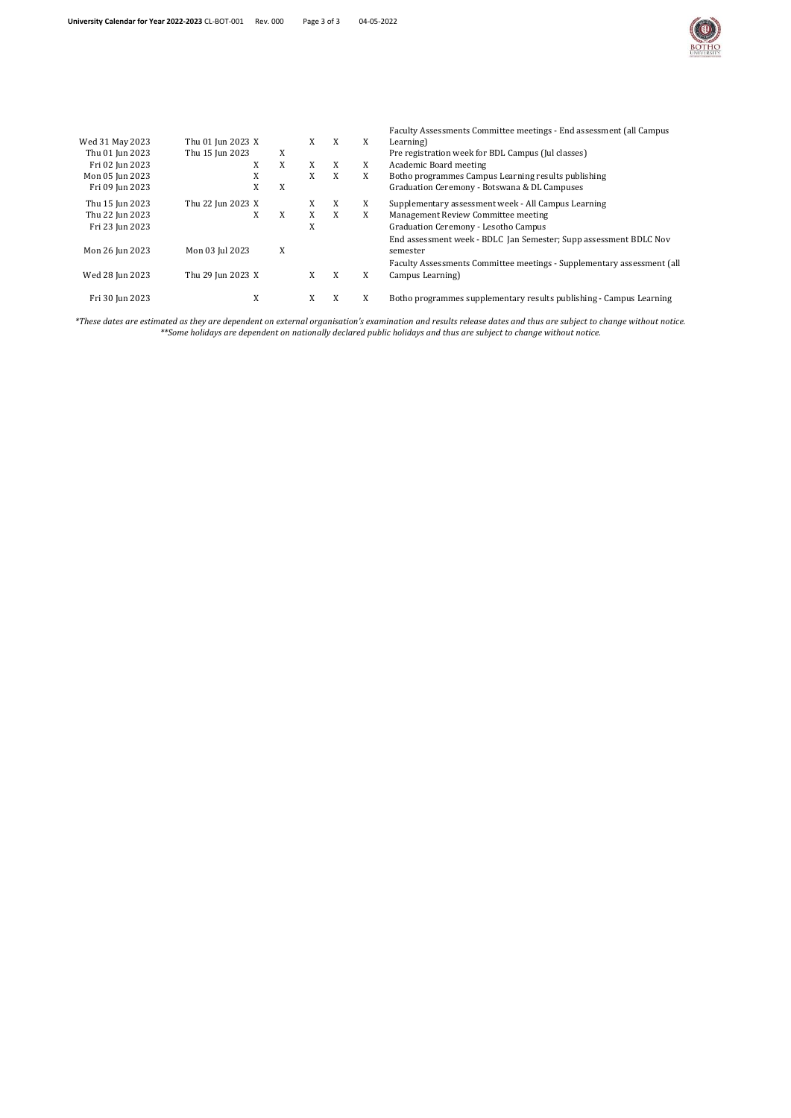

|                 |                   |   |   |   |   | Faculty Assessments Committee meetings - End assessment (all Campus           |
|-----------------|-------------------|---|---|---|---|-------------------------------------------------------------------------------|
| Wed 31 May 2023 | Thu 01 Jun 2023 X |   | X | X | X | Learning)                                                                     |
| Thu 01 Jun 2023 | Thu 15 Jun 2023   | X |   |   |   | Pre registration week for BDL Campus (Jul classes)                            |
| Fri 02 Jun 2023 | X                 | X | X | X | X | Academic Board meeting                                                        |
| Mon 05 Jun 2023 | X                 |   | X | X | X | Botho programmes Campus Learning results publishing                           |
| Fri 09 Jun 2023 | X                 | X |   |   |   | Graduation Ceremony - Botswana & DL Campuses                                  |
| Thu 15 Jun 2023 | Thu 22 Jun 2023 X |   | X | X | X | Supplementary assessment week - All Campus Learning                           |
| Thu 22 Jun 2023 | X                 | X | X | X | X | Management Review Committee meeting                                           |
| Fri 23 Jun 2023 |                   |   | X |   |   | Graduation Ceremony - Lesotho Campus                                          |
| Mon 26 Jun 2023 | Mon 03 Jul 2023   | X |   |   |   | End assessment week - BDLC Jan Semester; Supp assessment BDLC Nov<br>semester |
|                 |                   |   |   |   |   | Faculty Assessments Committee meetings - Supplementary assessment (all        |
| Wed 28 Jun 2023 | Thu 29 Jun 2023 X |   | X | X | X | Campus Learning)                                                              |
| Fri 30 Jun 2023 | X                 |   | X | X | X | Botho programmes supplementary results publishing - Campus Learning           |

*\*These dates are estimated as they are dependent on external organisation's examination and results release dates and thus are subject to change without notice. \*\*Some holidays are dependent on nationally declared public holidays and thus are subject to change without notice.*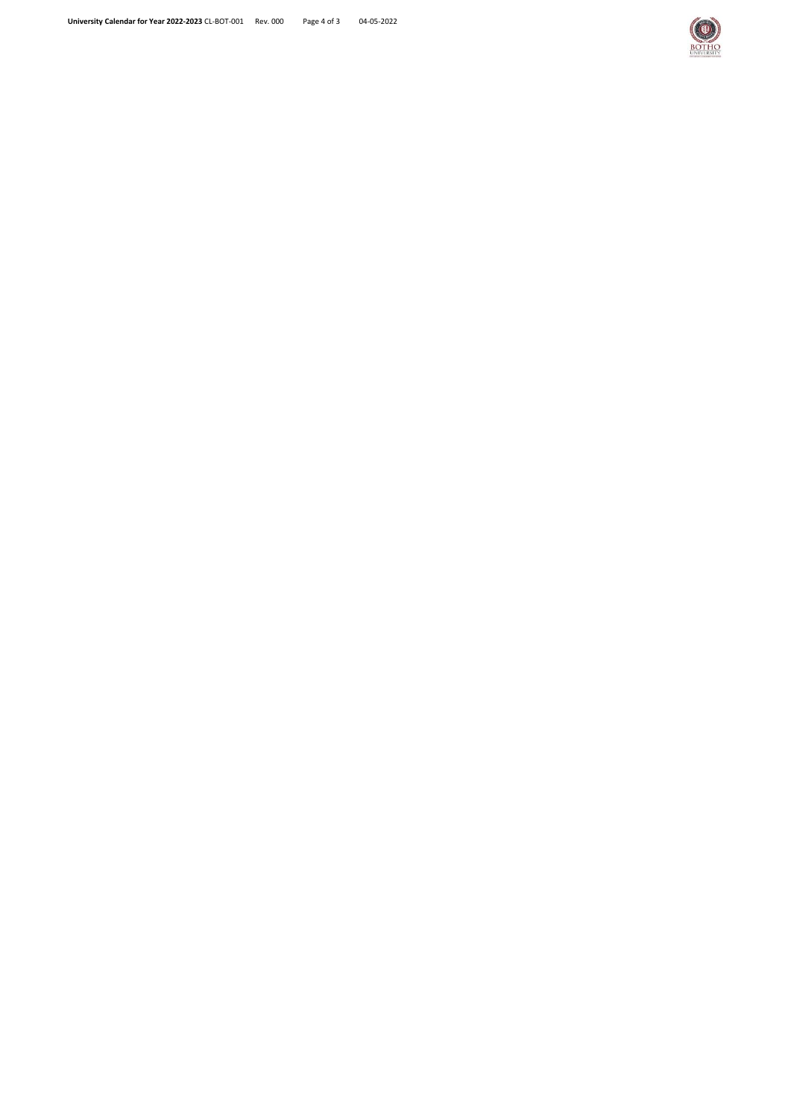